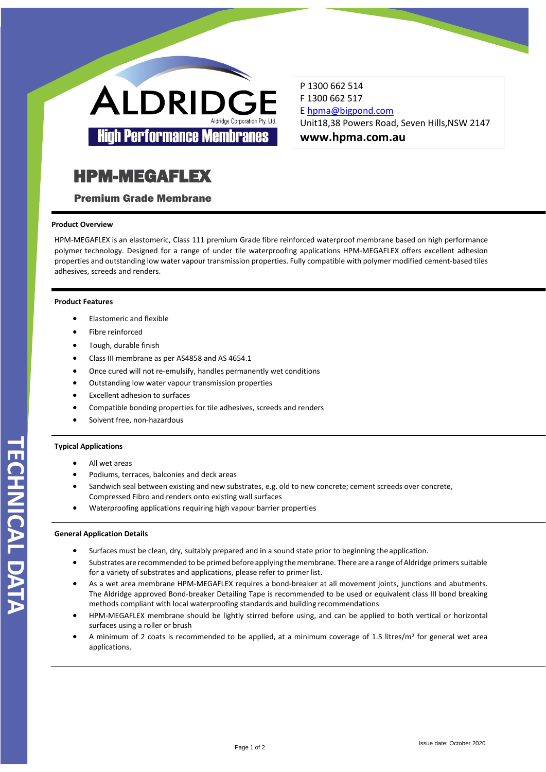

P 1300 662 514 F 1300 662 517 E [hpma@bigpond.com](mailto:hpma@bigpond.com) Unit18,38 Powers Road, Seven Hills,NSW 2147 **www.hpma.com.au**

# HPM-MEGAFLEX

Premium Grade Membrane

# **Product Overview**

HPM-MEGAFLEX is an elastomeric, Class 111 premium Grade fibre reinforced waterproof membrane based on high performance polymer technology. Designed for a range of under tile waterproofing applications HPM-MEGAFLEX offers excellent adhesion properties and outstanding low water vapour transmission properties. Fully compatible with polymer modified cement-based tiles adhesives, screeds and renders.

# **Product Features**

- Elastomeric and flexible
- Fibre reinforced
- Tough, durable finish
- Class III membrane as per AS4858 and AS 4654.1
- Once cured will not re-emulsify, handles permanently wet conditions
- Outstanding low water vapour transmission properties
- Excellent adhesion to surfaces
- Compatible bonding properties for tile adhesives, screeds and renders
- Solvent free, non-hazardous

# **Typical Applications**

- All wet areas
- Podiums, terraces, balconies and deck areas
- Sandwich seal between existing and new substrates, e.g. old to new concrete; cement screeds over concrete, Compressed Fibro and renders onto existing wall surfaces
- Waterproofing applications requiring high vapour barrier properties

# **General Application Details**

- Surfaces must be clean, dry, suitably prepared and in a sound state prior to beginning the application.
- Substrates are recommended to be primed before applying the membrane. There are a range of Aldridge primers suitable for a variety of substrates and applications, please refer to primer list.
- As a wet area membrane HPM-MEGAFLEX requires a bond-breaker at all movement joints, junctions and abutments. The Aldridge approved Bond-breaker Detailing Tape is recommended to be used or equivalent class III bond breaking methods compliant with local waterproofing standards and building recommendations
- HPM-MEGAFLEX membrane should be lightly stirred before using, and can be applied to both vertical or horizontal surfaces using a roller or brush
- A minimum of 2 coats is recommended to be applied, at a minimum coverage of 1.5 litres/ $m^2$  for general wet area applications.